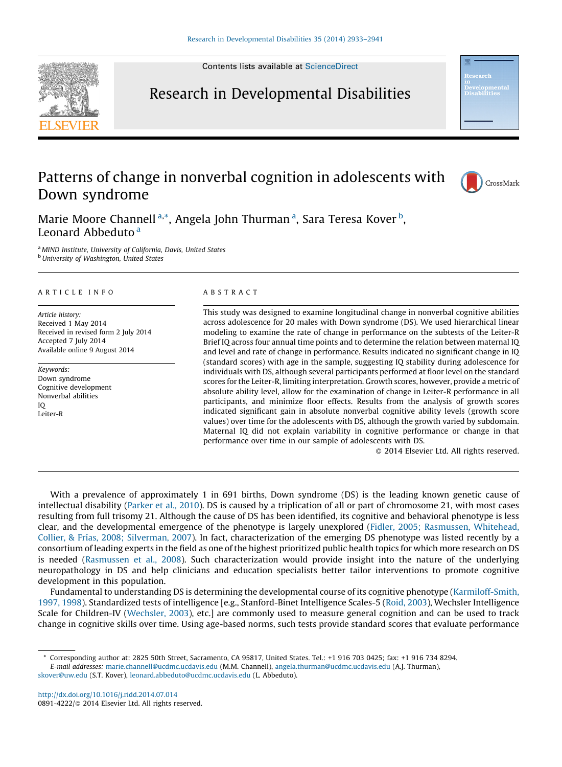Contents lists available at [ScienceDirect](http://www.sciencedirect.com/science/journal/08914222)

# Research in Developmental Disabilities

# Patterns of change in nonverbal cognition in adolescents with Down syndrome

Marie Moore Channell <sup>a,</sup>\*, Angela John Thurman <sup>a</sup>, Sara Teresa Kover <sup>b</sup>, Leonard Abbeduto<sup>a</sup>

a MIND Institute, University of California, Davis, United States **b** University of Washington, United States

## A R T I C I E I N E O

Article history: Received 1 May 2014 Received in revised form 2 July 2014 Accepted 7 July 2014 Available online 9 August 2014

Keywords: Down syndrome Cognitive development Nonverbal abilities IQ Leiter-R

## A B S T R A C T

This study was designed to examine longitudinal change in nonverbal cognitive abilities across adolescence for 20 males with Down syndrome (DS). We used hierarchical linear modeling to examine the rate of change in performance on the subtests of the Leiter-R Brief IQ across four annual time points and to determine the relation between maternal IQ and level and rate of change in performance. Results indicated no significant change in IQ (standard scores) with age in the sample, suggesting IQ stability during adolescence for individuals with DS, although several participants performed at floor level on the standard scores for the Leiter-R, limiting interpretation. Growth scores, however, provide a metric of absolute ability level, allow for the examination of change in Leiter-R performance in all participants, and minimize floor effects. Results from the analysis of growth scores indicated significant gain in absolute nonverbal cognitive ability levels (growth score values) over time for the adolescents with DS, although the growth varied by subdomain. Maternal IQ did not explain variability in cognitive performance or change in that performance over time in our sample of adolescents with DS.

- 2014 Elsevier Ltd. All rights reserved.

With a prevalence of approximately 1 in 691 births, Down syndrome (DS) is the leading known genetic cause of intellectual disability ([Parker](#page-8-0) et al., 2010). DS is caused by a triplication of all or part of chromosome 21, with most cases resulting from full trisomy 21. Although the cause of DS has been identified, its cognitive and behavioral phenotype is less clear, and the developmental emergence of the phenotype is largely unexplored (Fidler, 2005; [Rasmussen,](#page-7-0) Whitehead, Collier, & Frías, 2008; [Silverman,](#page-7-0) 2007). In fact, characterization of the emerging DS phenotype was listed recently by a consortium of leading experts in the field as one of the highest prioritized public health topics for which more research on DS is needed ([Rasmussen](#page-8-0) et al., 2008). Such characterization would provide insight into the nature of the underlying neuropathology in DS and help clinicians and education specialists better tailor interventions to promote cognitive development in this population.

Fundamental to understanding DS is determining the developmental course of its cognitive phenotype [\(Karmiloff-Smith,](#page-7-0) [1997,](#page-7-0) 1998). Standardized tests of intelligence [e.g., Stanford-Binet Intelligence Scales-5 (Roid, [2003\)](#page-8-0), Wechsler Intelligence Scale for Children-IV [\(Wechsler,](#page-8-0) 2003), etc.] are commonly used to measure general cognition and can be used to track change in cognitive skills over time. Using age-based norms, such tests provide standard scores that evaluate performance







<sup>\*</sup> Corresponding author at: 2825 50th Street, Sacramento, CA 95817, United States. Tel.: +1 916 703 0425; fax: +1 916 734 8294. E-mail addresses: [marie.channell@ucdmc.ucdavis.edu](mailto:marie.channell@ucdmc.ucdavis.edu) (M.M. Channell), [angela.thurman@ucdmc.ucdavis.edu](mailto:angela.thurman@ucdmc.ucdavis.edu) (A.J. Thurman),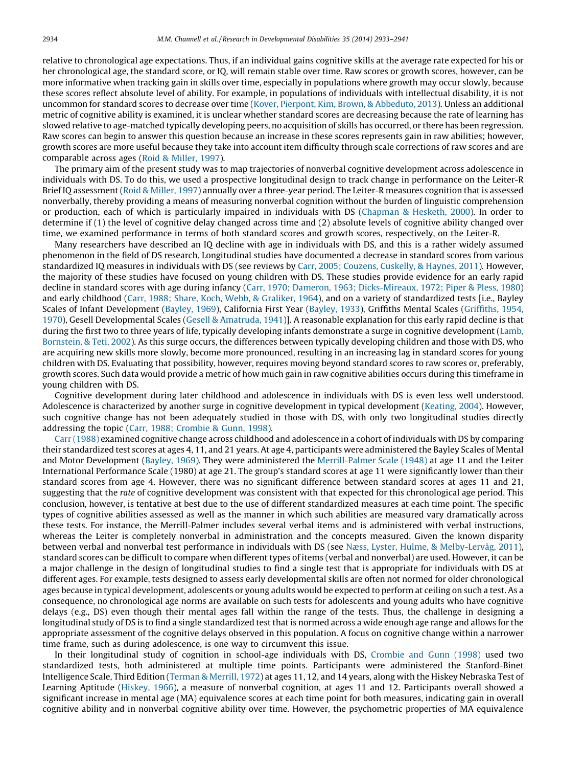relative to chronological age expectations. Thus, if an individual gains cognitive skills at the average rate expected for his or her chronological age, the standard score, or IQ, will remain stable over time. Raw scores or growth scores, however, can be more informative when tracking gain in skills over time, especially in populations where growth may occur slowly, because these scores reflect absolute level of ability. For example, in populations of individuals with intellectual disability, it is not uncommon for standard scores to decrease over time (Kover, Pierpont, Kim, Brown, & [Abbeduto,](#page-8-0) 2013). Unless an additional metric of cognitive ability is examined, it is unclear whether standard scores are decreasing because the rate of learning has slowed relative to age-matched typically developing peers, no acquisition of skills has occurred, or there has been regression. Raw scores can begin to answer this question because an increase in these scores represents gain in raw abilities; however, growth scores are more useful because they take into account item difficulty through scale corrections of raw scores and are comparable across ages (Roid & [Miller,](#page-8-0) 1997).

The primary aim of the present study was to map trajectories of nonverbal cognitive development across adolescence in individuals with DS. To do this, we used a prospective longitudinal design to track change in performance on the Leiter-R Brief IQ assessment (Roid & [Miller,](#page-8-0) 1997) annually over a three-year period. The Leiter-R measures cognition that is assessed nonverbally, thereby providing a means of measuring nonverbal cognition without the burden of linguistic comprehension or production, each of which is particularly impaired in individuals with DS ([Chapman](#page-7-0) & Hesketh, 2000). In order to determine if (1) the level of cognitive delay changed across time and (2) absolute levels of cognitive ability changed over time, we examined performance in terms of both standard scores and growth scores, respectively, on the Leiter-R.

Many researchers have described an IQ decline with age in individuals with DS, and this is a rather widely assumed phenomenon in the field of DS research. Longitudinal studies have documented a decrease in standard scores from various standardized IQ measures in individuals with DS (see reviews by Carr, 2005; Couzens, [Cuskelly,](#page-7-0) & Haynes, 2011). However, the majority of these studies have focused on young children with DS. These studies provide evidence for an early rapid decline in standard scores with age during infancy (Carr, 1970; Dameron, 1963; [Dicks-Mireaux,](#page-7-0) 1972; Piper & Pless, 1980) and early childhood (Carr, 1988; Share, Koch, Webb, & [Graliker,](#page-7-0) 1964), and on a variety of standardized tests [i.e., Bayley Scales of Infant Development [\(Bayley,](#page-7-0) 1969), California First Year ([Bayley,](#page-7-0) 1933), Griffiths Mental Scales ([Griffiths,](#page-7-0) 1954, [1970](#page-7-0)), Gesell Developmental Scales (Gesell & [Amatruda,](#page-7-0) 1941)]. A reasonable explanation for this early rapid decline is that during the first two to three years of life, typically developing infants demonstrate a surge in cognitive development ([Lamb,](#page-8-0) [Bornstein,](#page-8-0) & Teti, 2002). As this surge occurs, the differences between typically developing children and those with DS, who are acquiring new skills more slowly, become more pronounced, resulting in an increasing lag in standard scores for young children with DS. Evaluating that possibility, however, requires moving beyond standard scores to raw scores or, preferably, growth scores. Such data would provide a metric of how much gain in raw cognitive abilities occurs during this timeframe in young children with DS.

Cognitive development during later childhood and adolescence in individuals with DS is even less well understood. Adolescence is characterized by another surge in cognitive development in typical development ([Keating,](#page-8-0) 2004). However, such cognitive change has not been adequately studied in those with DS, with only two longitudinal studies directly addressing the topic (Carr, 1988; [Crombie](#page-7-0) & Gunn, 1998).

Carr [\(1988\)](#page-7-0) examined cognitive change across childhood and adolescence in a cohort of individuals with DS by comparing their standardized test scores at ages 4, 11, and 21 years. At age 4, participants were administered the Bayley Scales of Mental and Motor Development ([Bayley,](#page-7-0) 1969). They were administered the [Merrill-Palmer](#page-8-0) Scale (1948) at age 11 and the Leiter International Performance Scale (1980) at age 21. The group's standard scores at age 11 were significantly lower than their standard scores from age 4. However, there was no significant difference between standard scores at ages 11 and 21, suggesting that the rate of cognitive development was consistent with that expected for this chronological age period. This conclusion, however, is tentative at best due to the use of different standardized measures at each time point. The specific types of cognitive abilities assessed as well as the manner in which such abilities are measured vary dramatically across these tests. For instance, the Merrill-Palmer includes several verbal items and is administered with verbal instructions, whereas the Leiter is completely nonverbal in administration and the concepts measured. Given the known disparity between verbal and nonverbal test performance in individuals with DS (see Næss, Lyster, Hulme, & Melby-Lervåg, 2011), standard scores can be difficult to compare when different types of items (verbal and nonverbal) are used. However, it can be a major challenge in the design of longitudinal studies to find a single test that is appropriate for individuals with DS at different ages. For example, tests designed to assess early developmental skills are often not normed for older chronological ages because in typical development, adolescents or young adults would be expected to perform at ceiling on such a test. As a consequence, no chronological age norms are available on such tests for adolescents and young adults who have cognitive delays (e.g., DS) even though their mental ages fall within the range of the tests. Thus, the challenge in designing a longitudinal study of DS is to find a single standardized test that is normed across a wide enough age range and allows for the appropriate assessment of the cognitive delays observed in this population. A focus on cognitive change within a narrower time frame, such as during adolescence, is one way to circumvent this issue.

In their longitudinal study of cognition in school-age individuals with DS, [Crombie](#page-7-0) and Gunn (1998) used two standardized tests, both administered at multiple time points. Participants were administered the Stanford-Binet Intelligence Scale, Third Edition ([Terman](#page-8-0) & Merrill, 1972) at ages 11, 12, and 14 years, along with the Hiskey Nebraska Test of Learning Aptitude ([Hiskey,](#page-7-0) 1966), a measure of nonverbal cognition, at ages 11 and 12. Participants overall showed a significant increase in mental age (MA) equivalence scores at each time point for both measures, indicating gain in overall cognitive ability and in nonverbal cognitive ability over time. However, the psychometric properties of MA equivalence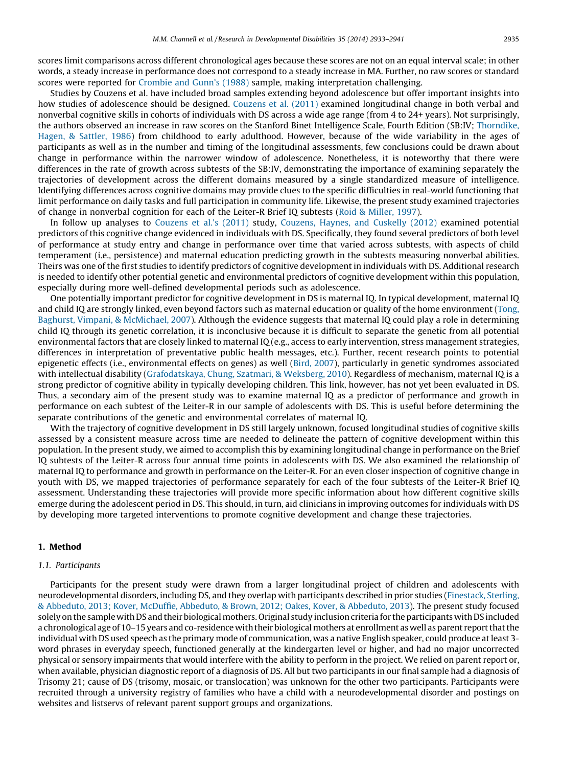scores limit comparisons across different chronological ages because these scores are not on an equal interval scale; in other words, a steady increase in performance does not correspond to a steady increase in MA. Further, no raw scores or standard scores were reported for [Crombie](#page-7-0) and Gunn's (1988) sample, making interpretation challenging.

Studies by Couzens et al. have included broad samples extending beyond adolescence but offer important insights into how studies of adolescence should be designed. [Couzens](#page-7-0) et al. (2011) examined longitudinal change in both verbal and nonverbal cognitive skills in cohorts of individuals with DS across a wide age range (from 4 to 24+ years). Not surprisingly, the authors observed an increase in raw scores on the Stanford Binet Intelligence Scale, Fourth Edition (SB:IV; [Thorndike,](#page-8-0) Hagen, & [Sattler,](#page-8-0) 1986) from childhood to early adulthood. However, because of the wide variability in the ages of participants as well as in the number and timing of the longitudinal assessments, few conclusions could be drawn about change in performance within the narrower window of adolescence. Nonetheless, it is noteworthy that there were differences in the rate of growth across subtests of the SB:IV, demonstrating the importance of examining separately the trajectories of development across the different domains measured by a single standardized measure of intelligence. Identifying differences across cognitive domains may provide clues to the specific difficulties in real-world functioning that limit performance on daily tasks and full participation in community life. Likewise, the present study examined trajectories of change in nonverbal cognition for each of the Leiter-R Brief IQ subtests (Roid & [Miller,](#page-8-0) 1997).

In follow up analyses to [Couzens](#page-7-0) et al.'s (2011) study, [Couzens,](#page-7-0) Haynes, and Cuskelly (2012) examined potential predictors of this cognitive change evidenced in individuals with DS. Specifically, they found several predictors of both level of performance at study entry and change in performance over time that varied across subtests, with aspects of child temperament (i.e., persistence) and maternal education predicting growth in the subtests measuring nonverbal abilities. Theirs was one of the first studies to identify predictors of cognitive development in individuals with DS. Additional research is needed to identify other potential genetic and environmental predictors of cognitive development within this population, especially during more well-defined developmental periods such as adolescence.

One potentially important predictor for cognitive development in DS is maternal IQ. In typical development, maternal IQ and child IQ are strongly linked, even beyond factors such as maternal education or quality of the home environment [\(Tong,](#page-8-0) Baghurst, Vimpani, & [McMichael,](#page-8-0) 2007). Although the evidence suggests that maternal IQ could play a role in determining child IQ through its genetic correlation, it is inconclusive because it is difficult to separate the genetic from all potential environmental factors that are closely linked to maternal IQ (e.g., access to early intervention, stress management strategies, differences in interpretation of preventative public health messages, etc.). Further, recent research points to potential epigenetic effects (i.e., environmental effects on genes) as well (Bird, [2007\)](#page-7-0), particularly in genetic syndromes associated with intellectual disability [\(Grafodatskaya,](#page-7-0) Chung, Szatmari, & Weksberg, 2010). Regardless of mechanism, maternal IQ is a strong predictor of cognitive ability in typically developing children. This link, however, has not yet been evaluated in DS. Thus, a secondary aim of the present study was to examine maternal IQ as a predictor of performance and growth in performance on each subtest of the Leiter-R in our sample of adolescents with DS. This is useful before determining the separate contributions of the genetic and environmental correlates of maternal IQ.

With the trajectory of cognitive development in DS still largely unknown, focused longitudinal studies of cognitive skills assessed by a consistent measure across time are needed to delineate the pattern of cognitive development within this population. In the present study, we aimed to accomplish this by examining longitudinal change in performance on the Brief IQ subtests of the Leiter-R across four annual time points in adolescents with DS. We also examined the relationship of maternal IQ to performance and growth in performance on the Leiter-R. For an even closer inspection of cognitive change in youth with DS, we mapped trajectories of performance separately for each of the four subtests of the Leiter-R Brief IQ assessment. Understanding these trajectories will provide more specific information about how different cognitive skills emerge during the adolescent period in DS. This should, in turn, aid clinicians in improving outcomes for individuals with DS by developing more targeted interventions to promote cognitive development and change these trajectories.

# 1. Method

## 1.1. Participants

Participants for the present study were drawn from a larger longitudinal project of children and adolescents with neurodevelopmental disorders, including DS, and they overlap with participants described in prior studies [\(Finestack,](#page-7-0) Sterling, & Abbeduto, 2013; Kover, McDuffie, Abbeduto, & Brown, 2012; Oakes, Kover, & [Abbeduto,](#page-7-0) 2013). The present study focused solely on the sample with DS and their biological mothers. Original study inclusion criteria for the participants with DS included a chronological age of 10–15 years and co-residence with their biological mothers at enrollment as well as parent report that the individual with DS used speech as the primary mode of communication, was a native English speaker, could produce atleast 3 word phrases in everyday speech, functioned generally at the kindergarten level or higher, and had no major uncorrected physical or sensory impairments that would interfere with the ability to perform in the project. We relied on parent report or, when available, physician diagnostic report of a diagnosis of DS. All but two participants in our final sample had a diagnosis of Trisomy 21; cause of DS (trisomy, mosaic, or translocation) was unknown for the other two participants. Participants were recruited through a university registry of families who have a child with a neurodevelopmental disorder and postings on websites and listservs of relevant parent support groups and organizations.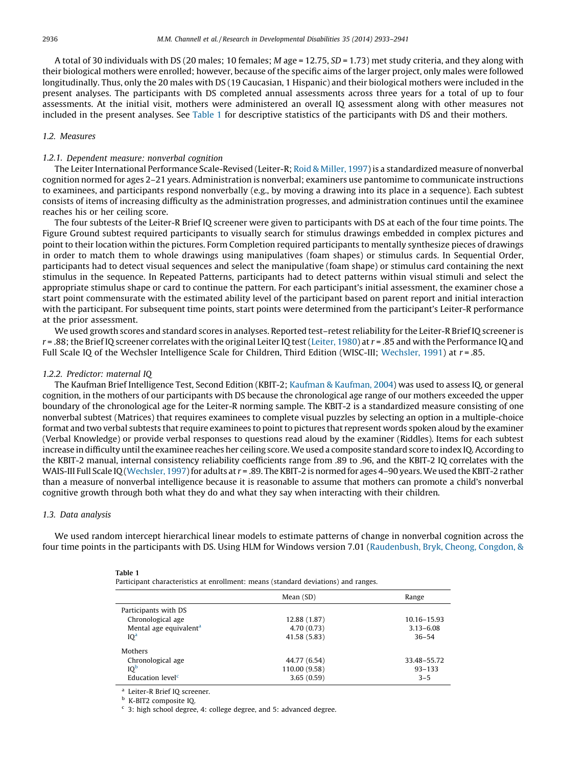A total of 30 individuals with DS (20 males; 10 females; M age =  $12.75$ ,  $SD = 1.73$ ) met study criteria, and they along with their biological mothers were enrolled; however, because of the specific aims of the larger project, only males were followed longitudinally. Thus, only the 20 males with DS (19 Caucasian, 1 Hispanic) and their biological mothers were included in the present analyses. The participants with DS completed annual assessments across three years for a total of up to four assessments. At the initial visit, mothers were administered an overall IQ assessment along with other measures not included in the present analyses. See Table 1 for descriptive statistics of the participants with DS and their mothers.

## 1.2. Measures

## 1.2.1. Dependent measure: nonverbal cognition

The Leiter International Performance Scale-Revised (Leiter-R; Roid & [Miller,](#page-8-0) 1997) is a standardized measure of nonverbal cognition normed for ages 2–21 years. Administration is nonverbal; examiners use pantomime to communicate instructions to examinees, and participants respond nonverbally (e.g., by moving a drawing into its place in a sequence). Each subtest consists of items of increasing difficulty as the administration progresses, and administration continues until the examinee reaches his or her ceiling score.

The four subtests of the Leiter-R Brief IQ screener were given to participants with DS at each of the four time points. The Figure Ground subtest required participants to visually search for stimulus drawings embedded in complex pictures and point to their location within the pictures. Form Completion required participants to mentally synthesize pieces of drawings in order to match them to whole drawings using manipulatives (foam shapes) or stimulus cards. In Sequential Order, participants had to detect visual sequences and select the manipulative (foam shape) or stimulus card containing the next stimulus in the sequence. In Repeated Patterns, participants had to detect patterns within visual stimuli and select the appropriate stimulus shape or card to continue the pattern. For each participant's initial assessment, the examiner chose a start point commensurate with the estimated ability level of the participant based on parent report and initial interaction with the participant. For subsequent time points, start points were determined from the participant's Leiter-R performance at the prior assessment.

We used growth scores and standard scores in analyses. Reported test–retest reliability for the Leiter-R Brief IQ screener is  $r = .88$ ; the Brief IQ screener correlates with the original Leiter IQ test ([Leiter,](#page-8-0) 1980) at  $r = .85$  and with the Performance IQ and Full Scale IQ of the Wechsler Intelligence Scale for Children, Third Edition (WISC-III; [Wechsler,](#page-8-0) 1991) at  $r = .85$ .

## 1.2.2. Predictor: maternal IQ

The Kaufman Brief Intelligence Test, Second Edition (KBIT-2; Kaufman & [Kaufman,](#page-8-0) 2004) was used to assess IQ, or general cognition, in the mothers of our participants with DS because the chronological age range of our mothers exceeded the upper boundary of the chronological age for the Leiter-R norming sample. The KBIT-2 is a standardized measure consisting of one nonverbal subtest (Matrices) that requires examinees to complete visual puzzles by selecting an option in a multiple-choice format and two verbal subtests that require examinees to point to pictures that represent words spoken aloud by the examiner (Verbal Knowledge) or provide verbal responses to questions read aloud by the examiner (Riddles). Items for each subtest increase in difficulty untilthe examinee reaches her ceiling score.We used a composite standard score to index IQ. According to the KBIT-2 manual, internal consistency reliability coefficients range from .89 to .96, and the KBIT-2 IQ correlates with the WAIS-III Full Scale IQ [\(Wechsler,](#page-8-0) 1997) for adults at  $r = 0.89$ . The KBIT-2 is normed for ages 4-90 years. We used the KBIT-2 rather than a measure of nonverbal intelligence because it is reasonable to assume that mothers can promote a child's nonverbal cognitive growth through both what they do and what they say when interacting with their children.

## 1.3. Data analysis

We used random intercept hierarchical linear models to estimate patterns of change in nonverbal cognition across the four time points in the participants with DS. Using HLM for Windows version 7.01 ([Raudenbush,](#page-8-0) Bryk, Cheong, Congdon, &

| Table 1<br>Participant characteristics at enrollment: means (standard deviations) and ranges. |               |               |
|-----------------------------------------------------------------------------------------------|---------------|---------------|
|                                                                                               | Mean (SD)     | Range         |
| Participants with DS                                                                          |               |               |
| Chronological age                                                                             | 12.88 (1.87)  | 10.16-15.93   |
| Mental age equivalent <sup>a</sup>                                                            | 4.70(0.73)    | $3.13 - 6.08$ |
| IQ <sup>a</sup>                                                                               | 41.58 (5.83)  | $36 - 54$     |
| Mothers                                                                                       |               |               |
| Chronological age                                                                             | 44.77 (6.54)  | 33.48-55.72   |
| IO <sub>p</sub>                                                                               | 110.00 (9.58) | $93 - 133$    |
| Education level <sup>c</sup>                                                                  | 3.65(0.59)    | $3 - 5$       |

<sup>a</sup> Leiter-R Brief IQ screener.

<sup>b</sup> K-BIT2 composite IQ.

 $c$  3: high school degree, 4: college degree, and 5: advanced degree.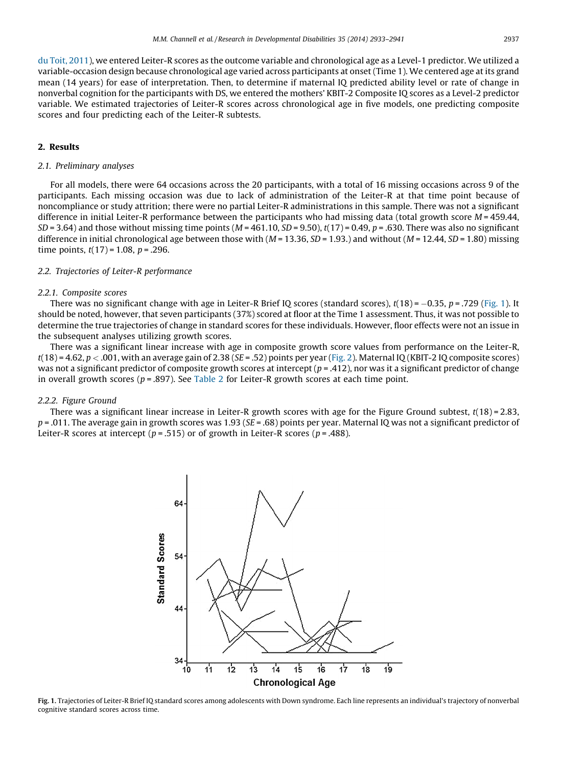du Toit, [2011](#page-8-0)), we entered Leiter-R scores as the outcome variable and chronological age as a Level-1 predictor. We utilized a variable-occasion design because chronological age varied across participants at onset (Time 1). We centered age at its grand mean (14 years) for ease of interpretation. Then, to determine if maternal IQ predicted ability level or rate of change in nonverbal cognition for the participants with DS, we entered the mothers' KBIT-2 Composite IQ scores as a Level-2 predictor variable. We estimated trajectories of Leiter-R scores across chronological age in five models, one predicting composite scores and four predicting each of the Leiter-R subtests.

# 2. Results

## 2.1. Preliminary analyses

For all models, there were 64 occasions across the 20 participants, with a total of 16 missing occasions across 9 of the participants. Each missing occasion was due to lack of administration of the Leiter-R at that time point because of noncompliance or study attrition; there were no partial Leiter-R administrations in this sample. There was not a significant difference in initial Leiter-R performance between the participants who had missing data (total growth score  $M = 459.44$ ,  $SD = 3.64$ ) and those without missing time points ( $M = 461.10$ ,  $SD = 9.50$ ),  $t(17) = 0.49$ ,  $p = .630$ . There was also no significant difference in initial chronological age between those with  $(M = 13.36, SD = 1.93)$  and without  $(M = 12.44, SD = 1.80)$  missing time points,  $t(17) = 1.08$ ,  $p = .296$ .

## 2.2. Trajectories of Leiter-R performance

#### 2.2.1. Composite scores

There was no significant change with age in Leiter-R Brief IQ scores (standard scores),  $t(18)$  =  $-0.35,$   $p$  = .729 (Fig. 1). It should be noted, however, that seven participants (37%) scored at floor at the Time 1 assessment. Thus, it was not possible to determine the true trajectories of change in standard scores for these individuals. However, floor effects were not an issue in the subsequent analyses utilizing growth scores.

There was a significant linear increase with age in composite growth score values from performance on the Leiter-R,  $t(18) = 4.62$ ,  $p < .001$ , with an average gain of 2.38 (SE = .52) points per year [\(Fig.](#page-5-0) 2). Maternal IQ (KBIT-2 IQ composite scores) was not a significant predictor of composite growth scores at intercept ( $p = .412$ ), nor was it a significant predictor of change in overall growth scores ( $p = .897$ ). See [Table](#page-5-0) 2 for Leiter-R growth scores at each time point.

### 2.2.2. Figure Ground

There was a significant linear increase in Leiter-R growth scores with age for the Figure Ground subtest,  $t(18) = 2.83$ ,  $p = .011$ . The average gain in growth scores was 1.93 (SE = .68) points per year. Maternal IQ was not a significant predictor of Leiter-R scores at intercept ( $p = .515$ ) or of growth in Leiter-R scores ( $p = .488$ ).



Fig. 1. Trajectories of Leiter-R Brief IQ standard scores among adolescents with Down syndrome. Each line represents an individual's trajectory of nonverbal cognitive standard scores across time.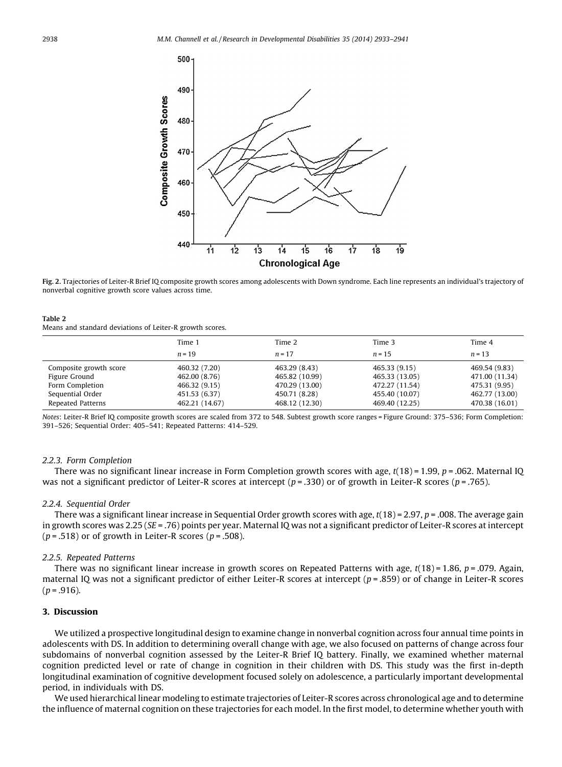<span id="page-5-0"></span>

Fig. 2. Trajectories of Leiter-R Brief IQ composite growth scores among adolescents with Down syndrome. Each line represents an individual's trajectory of nonverbal cognitive growth score values across time.

| Table 2                                                  |
|----------------------------------------------------------|
| Means and standard deviations of Leiter-R growth scores. |

|                        | Time 1         | Time 2         | Time 3         | Time 4         |
|------------------------|----------------|----------------|----------------|----------------|
|                        | $n = 19$       | $n = 17$       | $n = 15$       | $n = 13$       |
| Composite growth score | 460.32 (7.20)  | 463.29 (8.43)  | 465.33 (9.15)  | 469.54 (9.83)  |
| Figure Ground          | 462.00 (8.76)  | 465.82 (10.99) | 465.33 (13.05) | 471.00 (11.34) |
| Form Completion        | 466.32 (9.15)  | 470.29 (13.00) | 472.27 (11.54) | 475.31 (9.95)  |
| Sequential Order       | 451.53 (6.37)  | 450.71 (8.28)  | 455.40 (10.07) | 462.77 (13.00) |
| Repeated Patterns      | 462.21 (14.67) | 468.12 (12.30) | 469.40 (12.25) | 470.38 (16.01) |

Notes: Leiter-R Brief IQ composite growth scores are scaled from 372 to 548. Subtest growth score ranges = Figure Ground: 375–536; Form Completion: 391–526; Sequential Order: 405–541; Repeated Patterns: 414–529.

#### 2.2.3. Form Completion

There was no significant linear increase in Form Completion growth scores with age,  $t(18) = 1.99$ ,  $p = .062$ . Maternal IQ was not a significant predictor of Leiter-R scores at intercept ( $p = .330$ ) or of growth in Leiter-R scores ( $p = .765$ ).

## 2.2.4. Sequential Order

There was a significant linear increase in Sequential Order growth scores with age,  $t(18) = 2.97$ ,  $p = .008$ . The average gain in growth scores was 2.25 (SE = .76) points per year. Maternal IQ was not a significant predictor of Leiter-R scores at intercept  $(p = .518)$  or of growth in Leiter-R scores  $(p = .508)$ .

#### 2.2.5. Repeated Patterns

There was no significant linear increase in growth scores on Repeated Patterns with age,  $t(18) = 1.86$ ,  $p = .079$ . Again, maternal IQ was not a significant predictor of either Leiter-R scores at intercept ( $p = 0.859$ ) or of change in Leiter-R scores  $(p=.916).$ 

## 3. Discussion

We utilized a prospective longitudinal design to examine change in nonverbal cognition across four annual time points in adolescents with DS. In addition to determining overall change with age, we also focused on patterns of change across four subdomains of nonverbal cognition assessed by the Leiter-R Brief IQ battery. Finally, we examined whether maternal cognition predicted level or rate of change in cognition in their children with DS. This study was the first in-depth longitudinal examination of cognitive development focused solely on adolescence, a particularly important developmental period, in individuals with DS.

We used hierarchical linear modeling to estimate trajectories of Leiter-R scores across chronological age and to determine the influence of maternal cognition on these trajectories for each model. In the first model, to determine whether youth with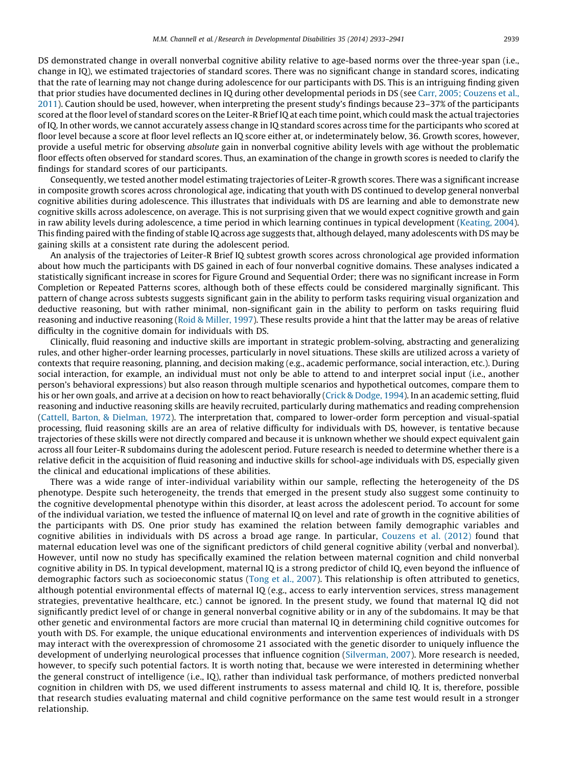DS demonstrated change in overall nonverbal cognitive ability relative to age-based norms over the three-year span (i.e., change in IQ), we estimated trajectories of standard scores. There was no significant change in standard scores, indicating that the rate of learning may not change during adolescence for our participants with DS. This is an intriguing finding given that prior studies have documented declines in IQ during other developmental periods in DS (see Carr, 2005; [Couzens](#page-7-0) et al., [2011](#page-7-0)). Caution should be used, however, when interpreting the present study's findings because 23–37% of the participants scored at the floor level of standard scores on the Leiter-R Brief IQ at each time point, which could mask the actual trajectories of IQ. In other words, we cannot accurately assess change in IQ standard scores across time for the participants who scored at floor level because a score at floor level reflects an IQ score either at, or indeterminately below, 36. Growth scores, however, provide a useful metric for observing absolute gain in nonverbal cognitive ability levels with age without the problematic floor effects often observed for standard scores. Thus, an examination of the change in growth scores is needed to clarify the findings for standard scores of our participants.

Consequently, we tested another model estimating trajectories of Leiter-R growth scores. There was a significant increase in composite growth scores across chronological age, indicating that youth with DS continued to develop general nonverbal cognitive abilities during adolescence. This illustrates that individuals with DS are learning and able to demonstrate new cognitive skills across adolescence, on average. This is not surprising given that we would expect cognitive growth and gain in raw ability levels during adolescence, a time period in which learning continues in typical development ([Keating,](#page-8-0) 2004). This finding paired with the finding of stable IQ across age suggests that, although delayed, many adolescents with DS may be gaining skills at a consistent rate during the adolescent period.

An analysis of the trajectories of Leiter-R Brief IQ subtest growth scores across chronological age provided information about how much the participants with DS gained in each of four nonverbal cognitive domains. These analyses indicated a statistically significant increase in scores for Figure Ground and Sequential Order; there was no significant increase in Form Completion or Repeated Patterns scores, although both of these effects could be considered marginally significant. This pattern of change across subtests suggests significant gain in the ability to perform tasks requiring visual organization and deductive reasoning, but with rather minimal, non-significant gain in the ability to perform on tasks requiring fluid reasoning and inductive reasoning (Roid & [Miller,](#page-8-0) 1997). These results provide a hint that the latter may be areas of relative difficulty in the cognitive domain for individuals with DS.

Clinically, fluid reasoning and inductive skills are important in strategic problem-solving, abstracting and generalizing rules, and other higher-order learning processes, particularly in novel situations. These skills are utilized across a variety of contexts that require reasoning, planning, and decision making (e.g., academic performance, social interaction, etc.). During social interaction, for example, an individual must not only be able to attend to and interpret social input (i.e., another person's behavioral expressions) but also reason through multiple scenarios and hypothetical outcomes, compare them to his or her own goals, and arrive at a decision on how to react behaviorally (Crick & [Dodge,](#page-7-0) 1994). In an academic setting, fluid reasoning and inductive reasoning skills are heavily recruited, particularly during mathematics and reading comprehension (Cattell, Barton, & [Dielman,](#page-7-0) 1972). The interpretation that, compared to lower-order form perception and visual-spatial processing, fluid reasoning skills are an area of relative difficulty for individuals with DS, however, is tentative because trajectories of these skills were not directly compared and because it is unknown whether we should expect equivalent gain across all four Leiter-R subdomains during the adolescent period. Future research is needed to determine whether there is a relative deficit in the acquisition of fluid reasoning and inductive skills for school-age individuals with DS, especially given the clinical and educational implications of these abilities.

There was a wide range of inter-individual variability within our sample, reflecting the heterogeneity of the DS phenotype. Despite such heterogeneity, the trends that emerged in the present study also suggest some continuity to the cognitive developmental phenotype within this disorder, at least across the adolescent period. To account for some of the individual variation, we tested the influence of maternal IQ on level and rate of growth in the cognitive abilities of the participants with DS. One prior study has examined the relation between family demographic variables and cognitive abilities in individuals with DS across a broad age range. In particular, [Couzens](#page-7-0) et al. (2012) found that maternal education level was one of the significant predictors of child general cognitive ability (verbal and nonverbal). However, until now no study has specifically examined the relation between maternal cognition and child nonverbal cognitive ability in DS. In typical development, maternal IQ is a strong predictor of child IQ, even beyond the influence of demographic factors such as socioeconomic status (Tong et al., [2007](#page-8-0)). This relationship is often attributed to genetics, although potential environmental effects of maternal IQ (e.g., access to early intervention services, stress management strategies, preventative healthcare, etc.) cannot be ignored. In the present study, we found that maternal IQ did not significantly predict level of or change in general nonverbal cognitive ability or in any of the subdomains. It may be that other genetic and environmental factors are more crucial than maternal IQ in determining child cognitive outcomes for youth with DS. For example, the unique educational environments and intervention experiences of individuals with DS may interact with the overexpression of chromosome 21 associated with the genetic disorder to uniquely influence the development of underlying neurological processes that influence cognition ([Silverman,](#page-8-0) 2007). More research is needed, however, to specify such potential factors. It is worth noting that, because we were interested in determining whether the general construct of intelligence (i.e., IQ), rather than individual task performance, of mothers predicted nonverbal cognition in children with DS, we used different instruments to assess maternal and child IQ. It is, therefore, possible that research studies evaluating maternal and child cognitive performance on the same test would result in a stronger relationship.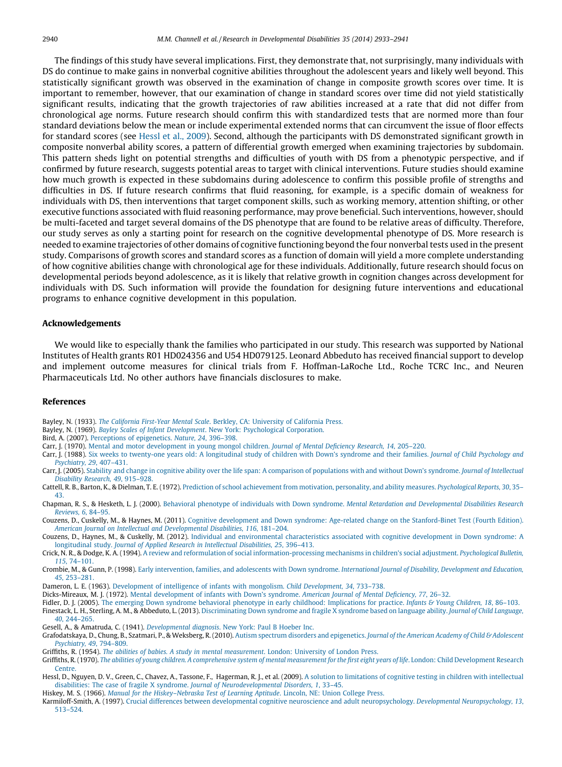<span id="page-7-0"></span>The findings of this study have several implications. First, they demonstrate that, not surprisingly, many individuals with DS do continue to make gains in nonverbal cognitive abilities throughout the adolescent years and likely well beyond. This statistically significant growth was observed in the examination of change in composite growth scores over time. It is important to remember, however, that our examination of change in standard scores over time did not yield statistically significant results, indicating that the growth trajectories of raw abilities increased at a rate that did not differ from chronological age norms. Future research should confirm this with standardized tests that are normed more than four standard deviations below the mean or include experimental extended norms that can circumvent the issue of floor effects for standard scores (see Hessl et al., 2009). Second, although the participants with DS demonstrated significant growth in composite nonverbal ability scores, a pattern of differential growth emerged when examining trajectories by subdomain. This pattern sheds light on potential strengths and difficulties of youth with DS from a phenotypic perspective, and if confirmed by future research, suggests potential areas to target with clinical interventions. Future studies should examine how much growth is expected in these subdomains during adolescence to confirm this possible profile of strengths and difficulties in DS. If future research confirms that fluid reasoning, for example, is a specific domain of weakness for individuals with DS, then interventions that target component skills, such as working memory, attention shifting, or other executive functions associated with fluid reasoning performance, may prove beneficial. Such interventions, however, should be multi-faceted and target several domains of the DS phenotype that are found to be relative areas of difficulty. Therefore, our study serves as only a starting point for research on the cognitive developmental phenotype of DS. More research is needed to examine trajectories of other domains of cognitive functioning beyond the four nonverbaltests used in the present study. Comparisons of growth scores and standard scores as a function of domain will yield a more complete understanding of how cognitive abilities change with chronological age for these individuals. Additionally, future research should focus on developmental periods beyond adolescence, as it is likely that relative growth in cognition changes across development for individuals with DS. Such information will provide the foundation for designing future interventions and educational programs to enhance cognitive development in this population.

## Acknowledgements

We would like to especially thank the families who participated in our study. This research was supported by National Institutes of Health grants R01 HD024356 and U54 HD079125. Leonard Abbeduto has received financial support to develop and implement outcome measures for clinical trials from F. Hoffman-LaRoche Ltd., Roche TCRC Inc., and Neuren Pharmaceuticals Ltd. No other authors have financials disclosures to make.

#### References

Bayley, N. (1933). The California First-Year Mental Scale. Berkley, CA: [University](http://refhub.elsevier.com/S0891-4222(14)00284-4/sbref0005) of California Press.

Bayley, N. (1969). Bayley Scales of Infant Development. New York: [Psychological](http://refhub.elsevier.com/S0891-4222(14)00284-4/sbref0010) Corporation.

Bird, A. (2007). Perceptions of [epigenetics.](http://refhub.elsevier.com/S0891-4222(14)00284-4/sbref0015) Nature, 24, 396–398.

Carr, J. (1970). Mental and motor [development](http://refhub.elsevier.com/S0891-4222(14)00284-4/sbref0020) in young mongol children. Journal of Mental Deficiency Research, 14, 205–220.

Carr, J. (1988). Six weeks to twenty-one years old: A [longitudinal](http://refhub.elsevier.com/S0891-4222(14)00284-4/sbref0025) study of children with Down's syndrome and their families. Journal of Child Psychology and [Psychiatry,](http://refhub.elsevier.com/S0891-4222(14)00284-4/sbref0025) 29, 407–431.

Carr, J. (2005). Stability and change in cognitive ability over the life span: A comparison of [populations](http://refhub.elsevier.com/S0891-4222(14)00284-4/sbref0030) with and without Down's syndrome. Journal of Intellectual [Disability](http://refhub.elsevier.com/S0891-4222(14)00284-4/sbref0030) Research, 49, 915–928.

Cattell, R. B., Barton, K., & Dielman, T. E. (1972). Prediction of school [achievement](http://refhub.elsevier.com/S0891-4222(14)00284-4/sbref0035) from motivation, personality, and ability measures. Psychological Reports, 30, 35– [43.](http://refhub.elsevier.com/S0891-4222(14)00284-4/sbref0035)

Chapman, R. S., & Hesketh, L. J. (2000). Behavioral phenotype of individuals with Down syndrome. Mental Retardation and [Developmental](http://refhub.elsevier.com/S0891-4222(14)00284-4/sbref0040) Disabilities Research [Reviews,](http://refhub.elsevier.com/S0891-4222(14)00284-4/sbref0040) 6, 84–95.

Couzens, D., Cuskelly, M., & Haynes, M. (2011). Cognitive development and Down syndrome: Age-related change on the [Stanford-Binet](http://refhub.elsevier.com/S0891-4222(14)00284-4/sbref0045) Test (Fourth Edition). American Journal on Intellectual and [Developmental](http://refhub.elsevier.com/S0891-4222(14)00284-4/sbref0045) Disabilities, 116, 181–204.

Couzens, D., Haynes, M., & Cuskelly, M. (2012). Individual and [environmental](http://refhub.elsevier.com/S0891-4222(14)00284-4/sbref0050) characteristics associated with cognitive development in Down syndrome: A [longitudinal](http://refhub.elsevier.com/S0891-4222(14)00284-4/sbref0050) study. Journal of Applied Research in Intellectual Disabilities, 25, 396–413.

Crick, N. R., & Dodge, K. A. (1994). A review and reformulation of social [information-processing](http://refhub.elsevier.com/S0891-4222(14)00284-4/sbref0055) mechanisms in children's social adjustment. Psychological Bulletin, 115, [74–101.](http://refhub.elsevier.com/S0891-4222(14)00284-4/sbref0055)

Crombie, M., & Gunn, P. (1998). Early [intervention,](http://refhub.elsevier.com/S0891-4222(14)00284-4/sbref0060) families, and adolescents with Down syndrome. International Journal of Disability, Development and Education, 45, [253–281.](http://refhub.elsevier.com/S0891-4222(14)00284-4/sbref0060)

Dameron, L. E. (1963). [Development](http://refhub.elsevier.com/S0891-4222(14)00284-4/sbref0065) of intelligence of infants with mongolism. Child Development, 34, 733–738.

Dicks-Mireaux, M. J. (1972). Mental [development](http://refhub.elsevier.com/S0891-4222(14)00284-4/sbref0070) of infants with Down's syndrome. American Journal of Mental Deficiency, 77, 26–32.

Fidler, D. J. (2005). The emerging Down syndrome behavioral phenotype in early childhood: [Implications](http://refhub.elsevier.com/S0891-4222(14)00284-4/sbref0075) for practice. Infants & Young Children, 18, 86-103. Finestack, L. H., Sterling, A. M., & Abbeduto, L. (2013). [Discriminating](http://refhub.elsevier.com/S0891-4222(14)00284-4/sbref0080) Down syndrome and fragile X syndrome based on language ability. Journal of Child Language,

40, [244–265.](http://refhub.elsevier.com/S0891-4222(14)00284-4/sbref0080) Gesell, A., & Amatruda, C. (1941). [Developmental](http://refhub.elsevier.com/S0891-4222(14)00284-4/sbref0085) diagnosis. New York: Paul B Hoeber Inc.

Grafodatskaya, D., Chung, B., Szatmari, P., & Weksberg, R. (2010). Autism spectrum disorders and [epigenetics.](http://refhub.elsevier.com/S0891-4222(14)00284-4/sbref0090) Journal of the American Academy of Child & Adolescent [Psychiatry,](http://refhub.elsevier.com/S0891-4222(14)00284-4/sbref0090) 49, 794–809.

Griffiths, R. (1954). The abilities of babies. A study in mental [measurement](http://refhub.elsevier.com/S0891-4222(14)00284-4/sbref0095). London: University of London Press.

Griffiths, R. (1970). The abilities of young children. A [comprehensive](http://refhub.elsevier.com/S0891-4222(14)00284-4/sbref0100) system of mental measurement for the first eight years of life. London: Child Development Research [Centre](http://refhub.elsevier.com/S0891-4222(14)00284-4/sbref0100).

Hessl, D., Nguyen, D. V., Green, C., Chavez, A., Tassone, F., Hagerman, R. J., et al. (2009). A solution to limitations of cognitive testing in children with [intellectual](http://refhub.elsevier.com/S0891-4222(14)00284-4/sbref0105) disabilities: The case of fragile X syndrome. Journal of [Neurodevelopmental](http://refhub.elsevier.com/S0891-4222(14)00284-4/sbref0105) Disorders, 1, 33–45.

Hiskey, M. S. (1966). Manual for the [Hiskey–Nebraska](http://refhub.elsevier.com/S0891-4222(14)00284-4/sbref0110) Test of Learning Aptitude. Lincoln, NE: Union College Press.

Karmiloff-Smith, A. (1997). Crucial differences between developmental cognitive neuroscience and adult [neuropsychology.](http://refhub.elsevier.com/S0891-4222(14)00284-4/sbref0115) Developmental Neuropsychology, 13, [513–524](http://refhub.elsevier.com/S0891-4222(14)00284-4/sbref0115).